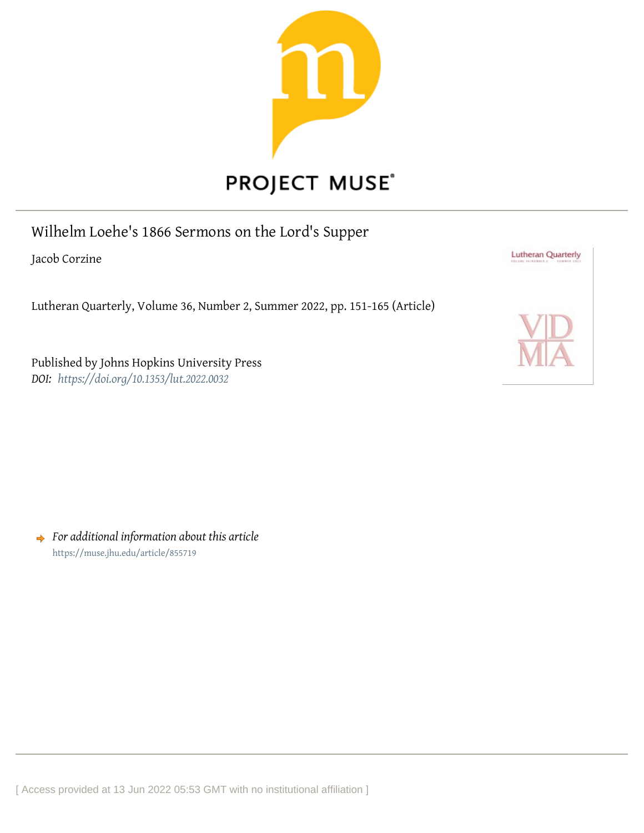

# Wilhelm Loehe's 1866 Sermons on the Lord's Supper

Jacob Corzine

Lutheran Quarterly, Volume 36, Number 2, Summer 2022, pp. 151-165 (Article)

Published by Johns Hopkins University Press *DOI: <https://doi.org/10.1353/lut.2022.0032>*



*For additional information about this article* <https://muse.jhu.edu/article/855719>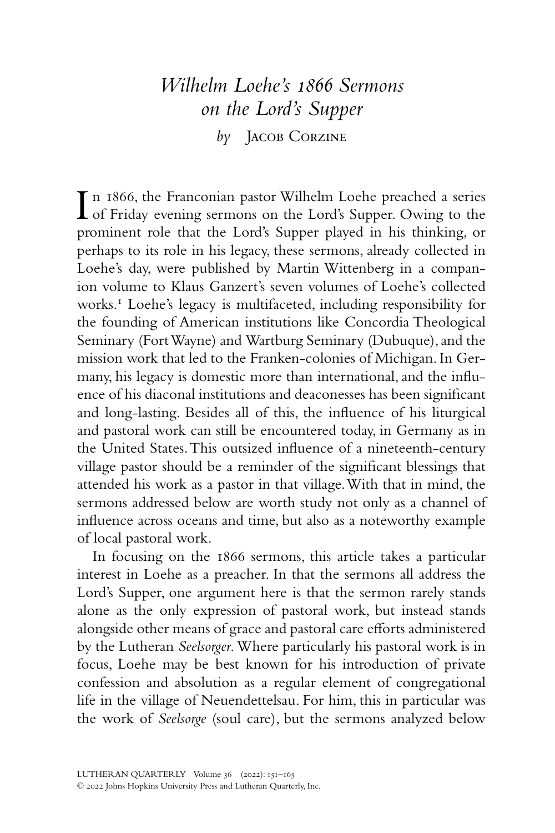## *Wilhelm Loehe's 1866 Sermons on the Lord's Supper*

*by* Jacob Corzine

In 1866, the Franconian pastor Wilhelm Loehe preached a series<br>of Friday evening sermons on the Lord's Supper. Owing to the n 1866, the Franconian pastor Wilhelm Loehe preached a series prominent role that the Lord's Supper played in his thinking, or perhaps to its role in his legacy, these sermons, already collected in Loehe's day, were published by Martin Wittenberg in a companion volume to Klaus Ganzert's seven volumes of Loehe's collected works.1 Loehe's legacy is multifaceted, including responsibility for the founding of American institutions like Concordia Theological Seminary (Fort Wayne) and Wartburg Seminary (Dubuque), and the mission work that led to the Franken-colonies of Michigan. In Germany, his legacy is domestic more than international, and the influence of his diaconal institutions and deaconesses has been significant and long-lasting. Besides all of this, the influence of his liturgical and pastoral work can still be encountered today, in Germany as in the United States. This outsized influence of a nineteenth-century village pastor should be a reminder of the significant blessings that attended his work as a pastor in that village. With that in mind, the sermons addressed below are worth study not only as a channel of influence across oceans and time, but also as a noteworthy example of local pastoral work.

In focusing on the 1866 sermons, this article takes a particular interest in Loehe as a preacher. In that the sermons all address the Lord's Supper, one argument here is that the sermon rarely stands alone as the only expression of pastoral work, but instead stands alongside other means of grace and pastoral care efforts administered by the Lutheran *Seelsorger*. Where particularly his pastoral work is in focus, Loehe may be best known for his introduction of private confession and absolution as a regular element of congregational life in the village of Neuendettelsau. For him, this in particular was the work of *Seelsorge* (soul care), but the sermons analyzed below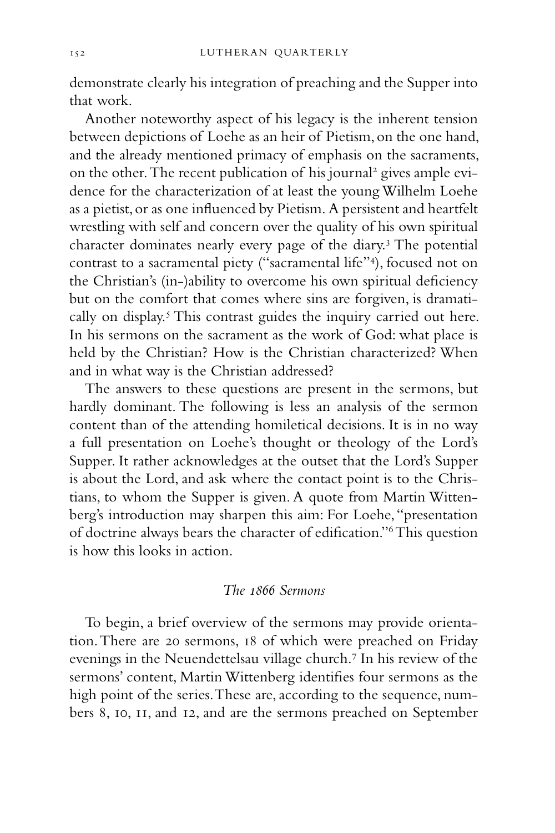demonstrate clearly his integration of preaching and the Supper into that work.

Another noteworthy aspect of his legacy is the inherent tension between depictions of Loehe as an heir of Pietism, on the one hand, and the already mentioned primacy of emphasis on the sacraments, on the other. The recent publication of his journal<sup>2</sup> gives ample evidence for the characterization of at least the young Wilhelm Loehe as a pietist, or as one influenced by Pietism. A persistent and heartfelt wrestling with self and concern over the quality of his own spiritual character dominates nearly every page of the diary.3 The potential contrast to a sacramental piety ("sacramental life"4 ), focused not on the Christian's (in-)ability to overcome his own spiritual deficiency but on the comfort that comes where sins are forgiven, is dramatically on display.<sup>5</sup> This contrast guides the inquiry carried out here. In his sermons on the sacrament as the work of God: what place is held by the Christian? How is the Christian characterized? When and in what way is the Christian addressed?

The answers to these questions are present in the sermons, but hardly dominant. The following is less an analysis of the sermon content than of the attending homiletical decisions. It is in no way a full presentation on Loehe's thought or theology of the Lord's Supper. It rather acknowledges at the outset that the Lord's Supper is about the Lord, and ask where the contact point is to the Christians, to whom the Supper is given. A quote from Martin Wittenberg's introduction may sharpen this aim: For Loehe, "presentation of doctrine always bears the character of edification."6 This question is how this looks in action.

#### *The 1866 Sermons*

To begin, a brief overview of the sermons may provide orientation. There are 20 sermons, 18 of which were preached on Friday evenings in the Neuendettelsau village church.7 In his review of the sermons' content, Martin Wittenberg identifies four sermons as the high point of the series. These are, according to the sequence, numbers 8, 10, 11, and 12, and are the sermons preached on September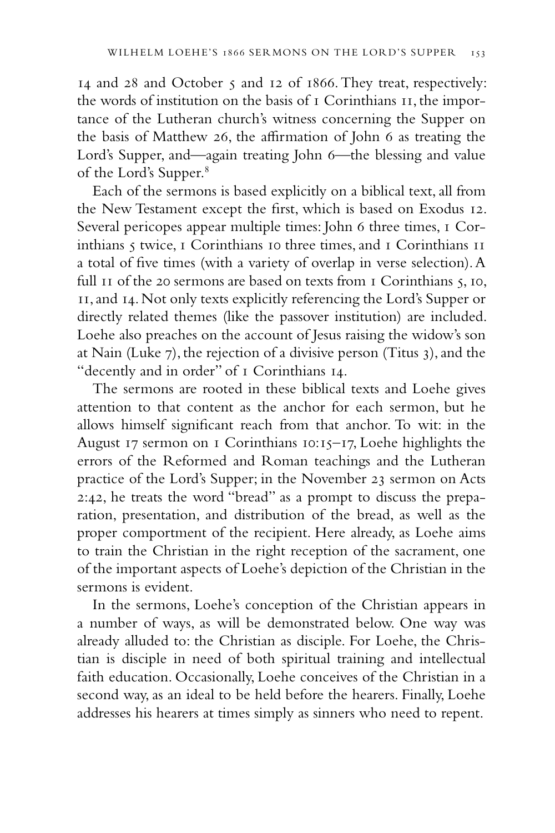14 and 28 and October 5 and 12 of 1866. They treat, respectively: the words of institution on the basis of 1 Corinthians 11, the importance of the Lutheran church's witness concerning the Supper on the basis of Matthew 26, the affirmation of John 6 as treating the Lord's Supper, and—again treating John 6—the blessing and value of the Lord's Supper.<sup>8</sup>

Each of the sermons is based explicitly on a biblical text, all from the New Testament except the first, which is based on Exodus 12. Several pericopes appear multiple times: John 6 three times, 1 Corinthians 5 twice, 1 Corinthians 10 three times, and 1 Corinthians 11 a total of five times (with a variety of overlap in verse selection). A full II of the 20 sermons are based on texts from I Corinthians 5, 10, 11, and 14. Not only texts explicitly referencing the Lord's Supper or directly related themes (like the passover institution) are included. Loehe also preaches on the account of Jesus raising the widow's son at Nain (Luke 7), the rejection of a divisive person (Titus 3), and the "decently and in order" of 1 Corinthians 14.

The sermons are rooted in these biblical texts and Loehe gives attention to that content as the anchor for each sermon, but he allows himself significant reach from that anchor. To wit: in the August 17 sermon on 1 Corinthians 10:15–17, Loehe highlights the errors of the Reformed and Roman teachings and the Lutheran practice of the Lord's Supper; in the November 23 sermon on Acts 2:42, he treats the word "bread" as a prompt to discuss the preparation, presentation, and distribution of the bread, as well as the proper comportment of the recipient. Here already, as Loehe aims to train the Christian in the right reception of the sacrament, one of the important aspects of Loehe's depiction of the Christian in the sermons is evident.

In the sermons, Loehe's conception of the Christian appears in a number of ways, as will be demonstrated below. One way was already alluded to: the Christian as disciple. For Loehe, the Christian is disciple in need of both spiritual training and intellectual faith education. Occasionally, Loehe conceives of the Christian in a second way, as an ideal to be held before the hearers. Finally, Loehe addresses his hearers at times simply as sinners who need to repent.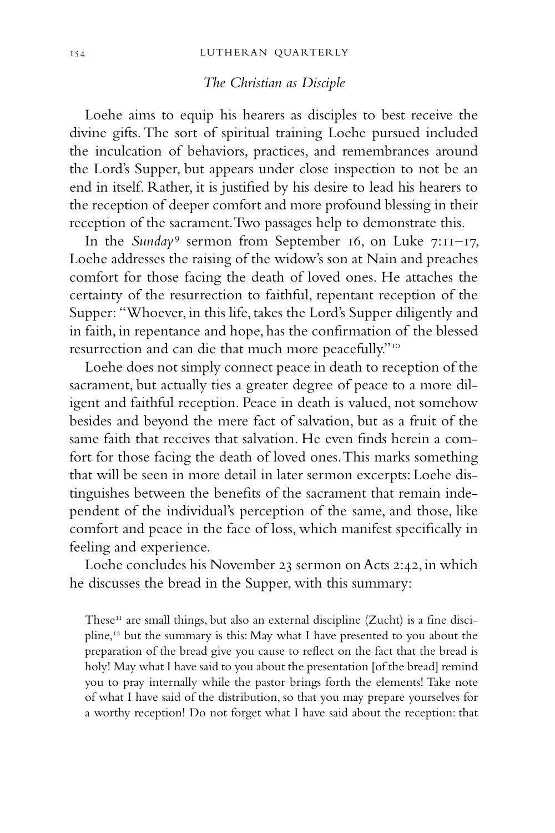### *The Christian as Disciple*

Loehe aims to equip his hearers as disciples to best receive the divine gifts. The sort of spiritual training Loehe pursued included the inculcation of behaviors, practices, and remembrances around the Lord's Supper, but appears under close inspection to not be an end in itself. Rather, it is justified by his desire to lead his hearers to the reception of deeper comfort and more profound blessing in their reception of the sacrament. Two passages help to demonstrate this.

In the *Sunday*<sup>9</sup> sermon from September 16, on Luke 7:11-17, Loehe addresses the raising of the widow's son at Nain and preaches comfort for those facing the death of loved ones. He attaches the certainty of the resurrection to faithful, repentant reception of the Supper: "Whoever, in this life, takes the Lord's Supper diligently and in faith, in repentance and hope, has the confirmation of the blessed resurrection and can die that much more peacefully."10

Loehe does not simply connect peace in death to reception of the sacrament, but actually ties a greater degree of peace to a more diligent and faithful reception. Peace in death is valued, not somehow besides and beyond the mere fact of salvation, but as a fruit of the same faith that receives that salvation. He even finds herein a comfort for those facing the death of loved ones. This marks something that will be seen in more detail in later sermon excerpts: Loehe distinguishes between the benefits of the sacrament that remain independent of the individual's perception of the same, and those, like comfort and peace in the face of loss, which manifest specifically in feeling and experience.

Loehe concludes his November 23 sermon on Acts 2:42, in which he discusses the bread in the Supper, with this summary:

These $<sup>11</sup>$  are small things, but also an external discipline (Zucht) is a fine disci-</sup> pline,12 but the summary is this: May what I have presented to you about the preparation of the bread give you cause to reflect on the fact that the bread is holy! May what I have said to you about the presentation [of the bread] remind you to pray internally while the pastor brings forth the elements! Take note of what I have said of the distribution, so that you may prepare yourselves for a worthy reception! Do not forget what I have said about the reception: that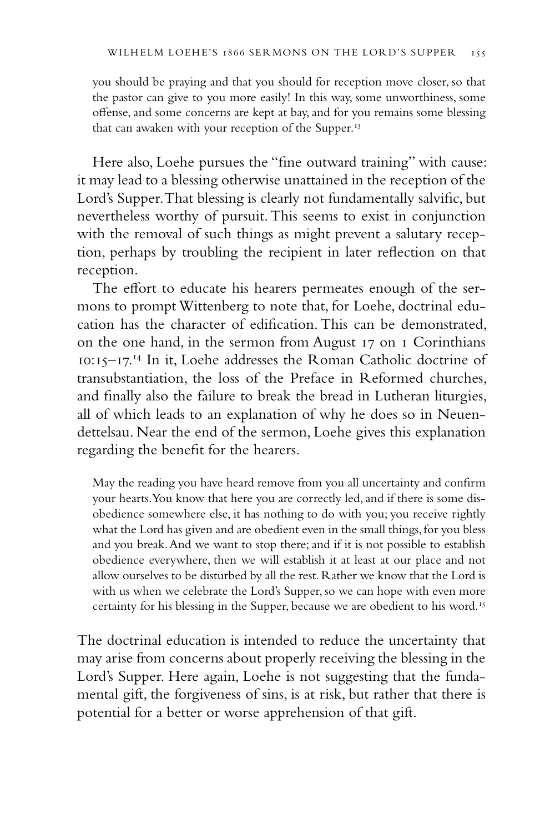you should be praying and that you should for reception move closer, so that the pastor can give to you more easily! In this way, some unworthiness, some offense, and some concerns are kept at bay, and for you remains some blessing that can awaken with your reception of the Supper.<sup>13</sup>

Here also, Loehe pursues the "fine outward training" with cause: it may lead to a blessing otherwise unattained in the reception of the Lord's Supper. That blessing is clearly not fundamentally salvific, but nevertheless worthy of pursuit. This seems to exist in conjunction with the removal of such things as might prevent a salutary reception, perhaps by troubling the recipient in later reflection on that reception.

The effort to educate his hearers permeates enough of the sermons to prompt Wittenberg to note that, for Loehe, doctrinal education has the character of edification. This can be demonstrated, on the one hand, in the sermon from August 17 on 1 Corinthians 10:15–17.14 In it, Loehe addresses the Roman Catholic doctrine of transubstantiation, the loss of the Preface in Reformed churches, and finally also the failure to break the bread in Lutheran liturgies, all of which leads to an explanation of why he does so in Neuendettelsau. Near the end of the sermon, Loehe gives this explanation regarding the benefit for the hearers.

May the reading you have heard remove from you all uncertainty and confirm your hearts. You know that here you are correctly led, and if there is some disobedience somewhere else, it has nothing to do with you; you receive rightly what the Lord has given and are obedient even in the small things, for you bless and you break. And we want to stop there; and if it is not possible to establish obedience everywhere, then we will establish it at least at our place and not allow ourselves to be disturbed by all the rest. Rather we know that the Lord is with us when we celebrate the Lord's Supper, so we can hope with even more certainty for his blessing in the Supper, because we are obedient to his word.<sup>15</sup>

The doctrinal education is intended to reduce the uncertainty that may arise from concerns about properly receiving the blessing in the Lord's Supper. Here again, Loehe is not suggesting that the fundamental gift, the forgiveness of sins, is at risk, but rather that there is potential for a better or worse apprehension of that gift.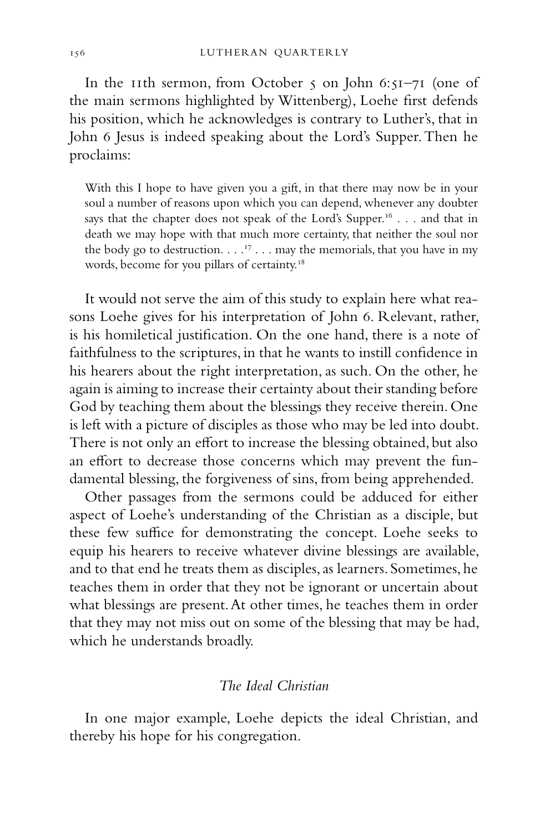In the 11th sermon, from October 5 on John 6:51–71 (one of the main sermons highlighted by Wittenberg), Loehe first defends his position, which he acknowledges is contrary to Luther's, that in John 6 Jesus is indeed speaking about the Lord's Supper. Then he proclaims:

With this I hope to have given you a gift, in that there may now be in your soul a number of reasons upon which you can depend, whenever any doubter says that the chapter does not speak of the Lord's Supper.<sup>16</sup> . . . and that in death we may hope with that much more certainty, that neither the soul nor the body go to destruction.  $\ldots$ <sup>17</sup> . . . may the memorials, that you have in my words, become for you pillars of certainty.<sup>18</sup>

It would not serve the aim of this study to explain here what reasons Loehe gives for his interpretation of John 6. Relevant, rather, is his homiletical justification. On the one hand, there is a note of faithfulness to the scriptures, in that he wants to instill confidence in his hearers about the right interpretation, as such. On the other, he again is aiming to increase their certainty about their standing before God by teaching them about the blessings they receive therein. One is left with a picture of disciples as those who may be led into doubt. There is not only an effort to increase the blessing obtained, but also an effort to decrease those concerns which may prevent the fundamental blessing, the forgiveness of sins, from being apprehended.

Other passages from the sermons could be adduced for either aspect of Loehe's understanding of the Christian as a disciple, but these few suffice for demonstrating the concept. Loehe seeks to equip his hearers to receive whatever divine blessings are available, and to that end he treats them as disciples, as learners. Sometimes, he teaches them in order that they not be ignorant or uncertain about what blessings are present. At other times, he teaches them in order that they may not miss out on some of the blessing that may be had, which he understands broadly.

#### *The Ideal Christian*

In one major example, Loehe depicts the ideal Christian, and thereby his hope for his congregation.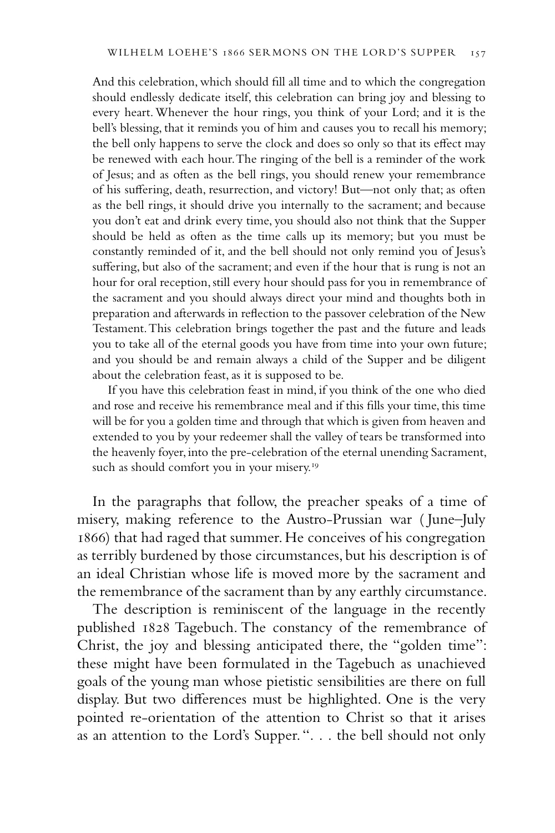And this celebration, which should fill all time and to which the congregation should endlessly dedicate itself, this celebration can bring joy and blessing to every heart. Whenever the hour rings, you think of your Lord; and it is the bell's blessing, that it reminds you of him and causes you to recall his memory; the bell only happens to serve the clock and does so only so that its effect may be renewed with each hour. The ringing of the bell is a reminder of the work of Jesus; and as often as the bell rings, you should renew your remembrance of his suffering, death, resurrection, and victory! But—not only that; as often as the bell rings, it should drive you internally to the sacrament; and because you don't eat and drink every time, you should also not think that the Supper should be held as often as the time calls up its memory; but you must be constantly reminded of it, and the bell should not only remind you of Jesus's suffering, but also of the sacrament; and even if the hour that is rung is not an hour for oral reception, still every hour should pass for you in remembrance of the sacrament and you should always direct your mind and thoughts both in preparation and afterwards in reflection to the passover celebration of the New Testament. This celebration brings together the past and the future and leads you to take all of the eternal goods you have from time into your own future; and you should be and remain always a child of the Supper and be diligent about the celebration feast, as it is supposed to be.

If you have this celebration feast in mind, if you think of the one who died and rose and receive his remembrance meal and if this fills your time, this time will be for you a golden time and through that which is given from heaven and extended to you by your redeemer shall the valley of tears be transformed into the heavenly foyer, into the pre-celebration of the eternal unending Sacrament, such as should comfort you in your misery.<sup>19</sup>

In the paragraphs that follow, the preacher speaks of a time of misery, making reference to the Austro-Prussian war ( June–July 1866) that had raged that summer. He conceives of his congregation as terribly burdened by those circumstances, but his description is of an ideal Christian whose life is moved more by the sacrament and the remembrance of the sacrament than by any earthly circumstance.

The description is reminiscent of the language in the recently published 1828 Tagebuch. The constancy of the remembrance of Christ, the joy and blessing anticipated there, the "golden time": these might have been formulated in the Tagebuch as unachieved goals of the young man whose pietistic sensibilities are there on full display. But two differences must be highlighted. One is the very pointed re-orientation of the attention to Christ so that it arises as an attention to the Lord's Supper. ". . . the bell should not only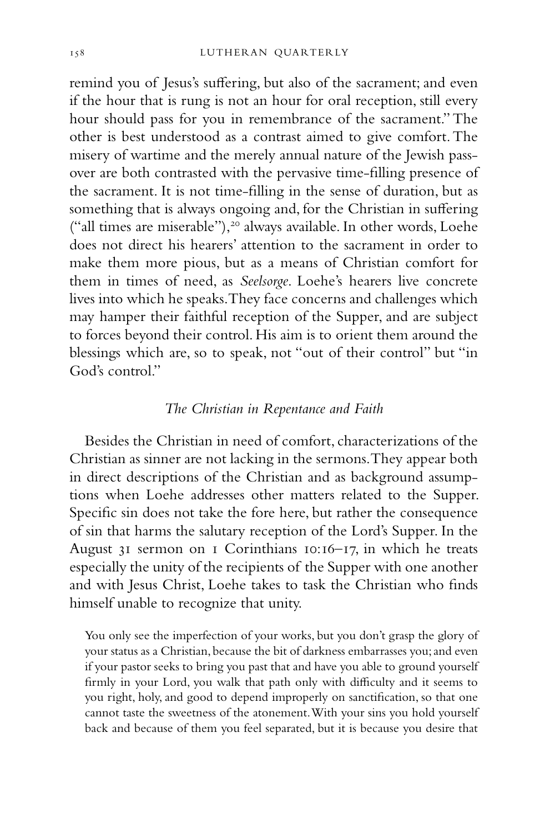remind you of Jesus's suffering, but also of the sacrament; and even if the hour that is rung is not an hour for oral reception, still every hour should pass for you in remembrance of the sacrament." The other is best understood as a contrast aimed to give comfort. The misery of wartime and the merely annual nature of the Jewish passover are both contrasted with the pervasive time-filling presence of the sacrament. It is not time-filling in the sense of duration, but as something that is always ongoing and, for the Christian in suffering ("all times are miserable"),<sup>20</sup> always available. In other words, Loehe does not direct his hearers' attention to the sacrament in order to make them more pious, but as a means of Christian comfort for them in times of need, as *Seelsorge*. Loehe's hearers live concrete lives into which he speaks. They face concerns and challenges which may hamper their faithful reception of the Supper, and are subject to forces beyond their control. His aim is to orient them around the blessings which are, so to speak, not "out of their control" but "in God's control."

### *The Christian in Repentance and Faith*

Besides the Christian in need of comfort, characterizations of the Christian as sinner are not lacking in the sermons. They appear both in direct descriptions of the Christian and as background assumptions when Loehe addresses other matters related to the Supper. Specific sin does not take the fore here, but rather the consequence of sin that harms the salutary reception of the Lord's Supper. In the August 31 sermon on 1 Corinthians 10:16–17, in which he treats especially the unity of the recipients of the Supper with one another and with Jesus Christ, Loehe takes to task the Christian who finds himself unable to recognize that unity.

You only see the imperfection of your works, but you don't grasp the glory of your status as a Christian, because the bit of darkness embarrasses you; and even if your pastor seeks to bring you past that and have you able to ground yourself firmly in your Lord, you walk that path only with difficulty and it seems to you right, holy, and good to depend improperly on sanctification, so that one cannot taste the sweetness of the atonement. With your sins you hold yourself back and because of them you feel separated, but it is because you desire that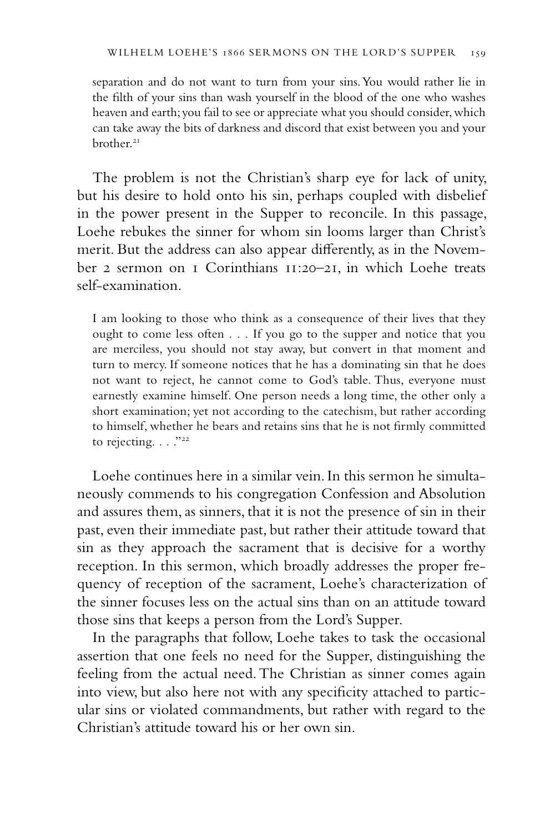separation and do not want to turn from your sins. You would rather lie in the filth of your sins than wash yourself in the blood of the one who washes heaven and earth; you fail to see or appreciate what you should consider, which can take away the bits of darkness and discord that exist between you and your brother.<sup>21</sup>

The problem is not the Christian's sharp eye for lack of unity, but his desire to hold onto his sin, perhaps coupled with disbelief in the power present in the Supper to reconcile. In this passage, Loehe rebukes the sinner for whom sin looms larger than Christ's merit. But the address can also appear differently, as in the November 2 sermon on 1 Corinthians 11:20–21, in which Loehe treats self-examination.

I am looking to those who think as a consequence of their lives that they ought to come less often . . . If you go to the supper and notice that you are merciless, you should not stay away, but convert in that moment and turn to mercy. If someone notices that he has a dominating sin that he does not want to reject, he cannot come to God's table. Thus, everyone must earnestly examine himself. One person needs a long time, the other only a short examination; yet not according to the catechism, but rather according to himself, whether he bears and retains sins that he is not firmly committed to rejecting.  $\ldots$ ."<sup>22</sup>

Loehe continues here in a similar vein. In this sermon he simultaneously commends to his congregation Confession and Absolution and assures them, as sinners, that it is not the presence of sin in their past, even their immediate past, but rather their attitude toward that sin as they approach the sacrament that is decisive for a worthy reception. In this sermon, which broadly addresses the proper frequency of reception of the sacrament, Loehe's characterization of the sinner focuses less on the actual sins than on an attitude toward those sins that keeps a person from the Lord's Supper.

In the paragraphs that follow, Loehe takes to task the occasional assertion that one feels no need for the Supper, distinguishing the feeling from the actual need. The Christian as sinner comes again into view, but also here not with any specificity attached to particular sins or violated commandments, but rather with regard to the Christian's attitude toward his or her own sin.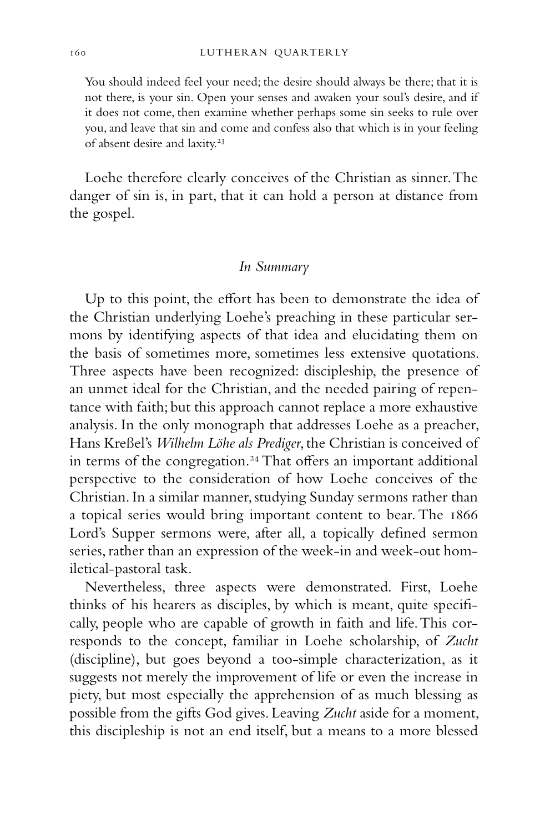You should indeed feel your need; the desire should always be there; that it is not there, is your sin. Open your senses and awaken your soul's desire, and if it does not come, then examine whether perhaps some sin seeks to rule over you, and leave that sin and come and confess also that which is in your feeling of absent desire and laxity.<sup>23</sup>

Loehe therefore clearly conceives of the Christian as sinner. The danger of sin is, in part, that it can hold a person at distance from the gospel.

#### *In Summary*

Up to this point, the effort has been to demonstrate the idea of the Christian underlying Loehe's preaching in these particular sermons by identifying aspects of that idea and elucidating them on the basis of sometimes more, sometimes less extensive quotations. Three aspects have been recognized: discipleship, the presence of an unmet ideal for the Christian, and the needed pairing of repentance with faith; but this approach cannot replace a more exhaustive analysis. In the only monograph that addresses Loehe as a preacher, Hans Kreßel's *Wilhelm Löhe als Prediger*, the Christian is conceived of in terms of the congregation.<sup>24</sup> That offers an important additional perspective to the consideration of how Loehe conceives of the Christian. In a similar manner, studying Sunday sermons rather than a topical series would bring important content to bear. The 1866 Lord's Supper sermons were, after all, a topically defined sermon series, rather than an expression of the week-in and week-out homiletical-pastoral task.

Nevertheless, three aspects were demonstrated. First, Loehe thinks of his hearers as disciples, by which is meant, quite specifically, people who are capable of growth in faith and life. This corresponds to the concept, familiar in Loehe scholarship, of *Zucht* (discipline), but goes beyond a too-simple characterization, as it suggests not merely the improvement of life or even the increase in piety, but most especially the apprehension of as much blessing as possible from the gifts God gives. Leaving *Zucht* aside for a moment, this discipleship is not an end itself, but a means to a more blessed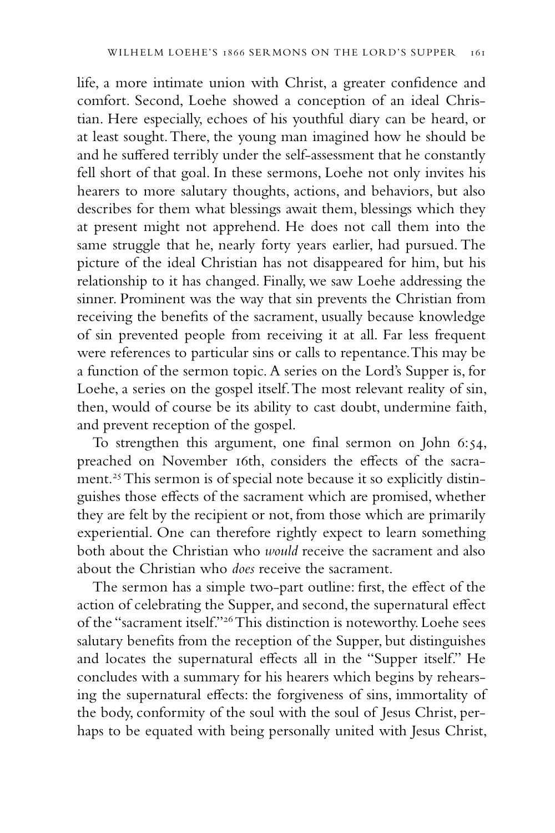life, a more intimate union with Christ, a greater confidence and comfort. Second, Loehe showed a conception of an ideal Christian. Here especially, echoes of his youthful diary can be heard, or at least sought. There, the young man imagined how he should be and he suffered terribly under the self-assessment that he constantly fell short of that goal. In these sermons, Loehe not only invites his hearers to more salutary thoughts, actions, and behaviors, but also describes for them what blessings await them, blessings which they at present might not apprehend. He does not call them into the same struggle that he, nearly forty years earlier, had pursued. The picture of the ideal Christian has not disappeared for him, but his relationship to it has changed. Finally, we saw Loehe addressing the sinner. Prominent was the way that sin prevents the Christian from receiving the benefits of the sacrament, usually because knowledge of sin prevented people from receiving it at all. Far less frequent were references to particular sins or calls to repentance. This may be a function of the sermon topic. A series on the Lord's Supper is, for Loehe, a series on the gospel itself. The most relevant reality of sin, then, would of course be its ability to cast doubt, undermine faith, and prevent reception of the gospel.

To strengthen this argument, one final sermon on John 6:54, preached on November 16th, considers the effects of the sacrament.<sup>25</sup> This sermon is of special note because it so explicitly distinguishes those effects of the sacrament which are promised, whether they are felt by the recipient or not, from those which are primarily experiential. One can therefore rightly expect to learn something both about the Christian who *would* receive the sacrament and also about the Christian who *does* receive the sacrament.

The sermon has a simple two-part outline: first, the effect of the action of celebrating the Supper, and second, the supernatural effect of the "sacrament itself."26 This distinction is noteworthy. Loehe sees salutary benefits from the reception of the Supper, but distinguishes and locates the supernatural effects all in the "Supper itself." He concludes with a summary for his hearers which begins by rehearsing the supernatural effects: the forgiveness of sins, immortality of the body, conformity of the soul with the soul of Jesus Christ, perhaps to be equated with being personally united with Jesus Christ,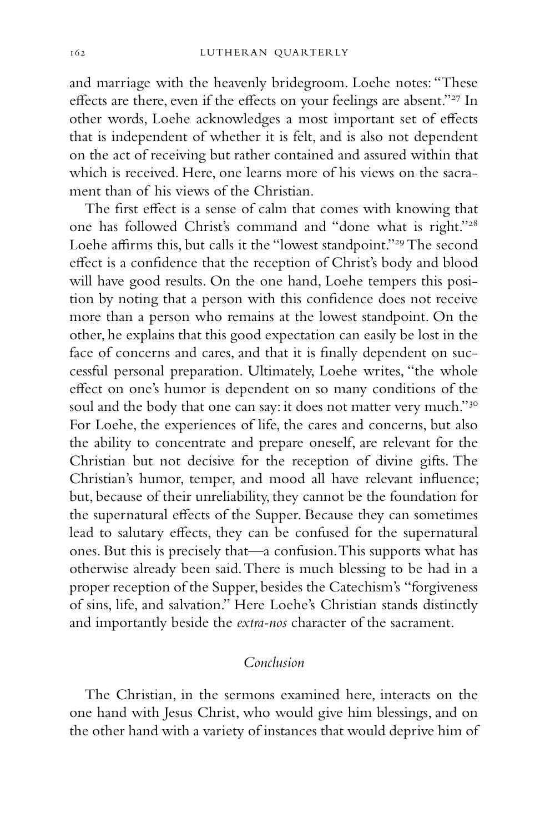and marriage with the heavenly bridegroom. Loehe notes: "These effects are there, even if the effects on your feelings are absent."<sup>27</sup> In other words, Loehe acknowledges a most important set of effects that is independent of whether it is felt, and is also not dependent on the act of receiving but rather contained and assured within that which is received. Here, one learns more of his views on the sacrament than of his views of the Christian.

The first effect is a sense of calm that comes with knowing that one has followed Christ's command and "done what is right."28 Loehe affirms this, but calls it the "lowest standpoint."29 The second effect is a confidence that the reception of Christ's body and blood will have good results. On the one hand, Loehe tempers this position by noting that a person with this confidence does not receive more than a person who remains at the lowest standpoint. On the other, he explains that this good expectation can easily be lost in the face of concerns and cares, and that it is finally dependent on successful personal preparation. Ultimately, Loehe writes, "the whole effect on one's humor is dependent on so many conditions of the soul and the body that one can say: it does not matter very much."<sup>30</sup> For Loehe, the experiences of life, the cares and concerns, but also the ability to concentrate and prepare oneself, are relevant for the Christian but not decisive for the reception of divine gifts. The Christian's humor, temper, and mood all have relevant influence; but, because of their unreliability, they cannot be the foundation for the supernatural effects of the Supper. Because they can sometimes lead to salutary effects, they can be confused for the supernatural ones. But this is precisely that—a confusion. This supports what has otherwise already been said. There is much blessing to be had in a proper reception of the Supper, besides the Catechism's "forgiveness of sins, life, and salvation." Here Loehe's Christian stands distinctly and importantly beside the *extra-nos* character of the sacrament.

#### *Conclusion*

The Christian, in the sermons examined here, interacts on the one hand with Jesus Christ, who would give him blessings, and on the other hand with a variety of instances that would deprive him of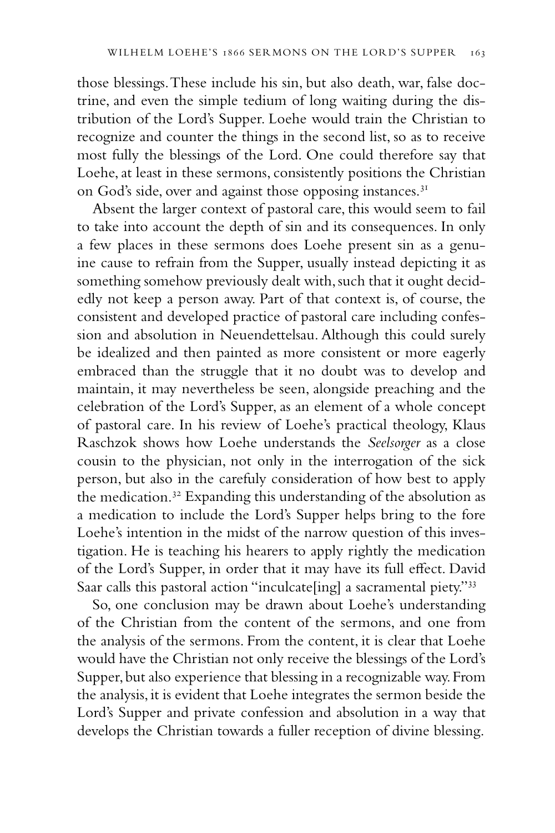those blessings. These include his sin, but also death, war, false doctrine, and even the simple tedium of long waiting during the distribution of the Lord's Supper. Loehe would train the Christian to recognize and counter the things in the second list, so as to receive most fully the blessings of the Lord. One could therefore say that Loehe, at least in these sermons, consistently positions the Christian on God's side, over and against those opposing instances.<sup>31</sup>

Absent the larger context of pastoral care, this would seem to fail to take into account the depth of sin and its consequences. In only a few places in these sermons does Loehe present sin as a genuine cause to refrain from the Supper, usually instead depicting it as something somehow previously dealt with, such that it ought decidedly not keep a person away. Part of that context is, of course, the consistent and developed practice of pastoral care including confession and absolution in Neuendettelsau. Although this could surely be idealized and then painted as more consistent or more eagerly embraced than the struggle that it no doubt was to develop and maintain, it may nevertheless be seen, alongside preaching and the celebration of the Lord's Supper, as an element of a whole concept of pastoral care. In his review of Loehe's practical theology, Klaus Raschzok shows how Loehe understands the *Seelsorger* as a close cousin to the physician, not only in the interrogation of the sick person, but also in the carefuly consideration of how best to apply the medication.<sup>32</sup> Expanding this understanding of the absolution as a medication to include the Lord's Supper helps bring to the fore Loehe's intention in the midst of the narrow question of this investigation. He is teaching his hearers to apply rightly the medication of the Lord's Supper, in order that it may have its full effect. David Saar calls this pastoral action "inculcate[ing] a sacramental piety."<sup>33</sup>

So, one conclusion may be drawn about Loehe's understanding of the Christian from the content of the sermons, and one from the analysis of the sermons. From the content, it is clear that Loehe would have the Christian not only receive the blessings of the Lord's Supper, but also experience that blessing in a recognizable way. From the analysis, it is evident that Loehe integrates the sermon beside the Lord's Supper and private confession and absolution in a way that develops the Christian towards a fuller reception of divine blessing.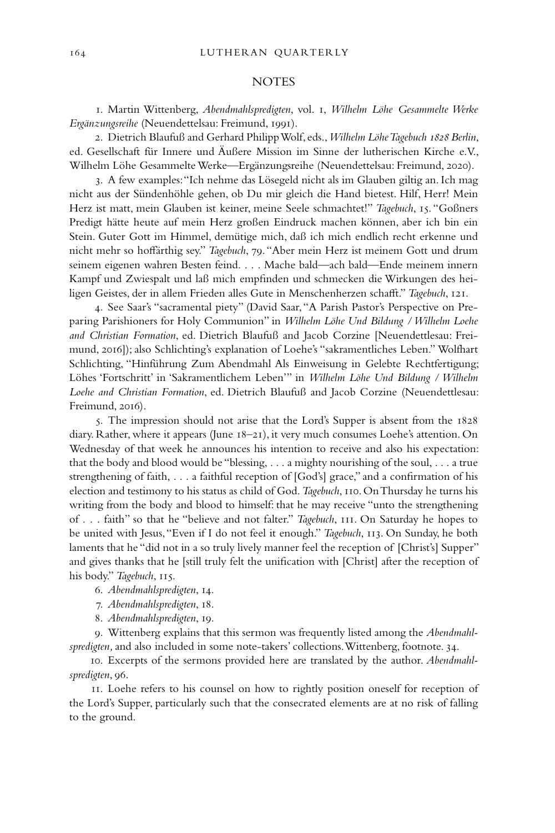#### **NOTES**

1. Martin Wittenberg, *Abendmahlspredigten*, vol. 1, *Wilhelm Löhe Gesammelte Werke Ergänzungsreihe* (Neuendettelsau: Freimund, 1991).

2. Dietrich Blaufuß and Gerhard Philipp Wolf, eds., *Wilhelm Löhe Tagebuch 1828 Berlin*, ed. Gesellschaft für Innere und Äußere Mission im Sinne der lutherischen Kirche e.V., Wilhelm Löhe Gesammelte Werke—Ergänzungsreihe (Neuendettelsau: Freimund, 2020).

3. A few examples: "Ich nehme das Lösegeld nicht als im Glauben giltig an. Ich mag nicht aus der Sündenhöhle gehen, ob Du mir gleich die Hand bietest. Hilf, Herr! Mein Herz ist matt, mein Glauben ist keiner, meine Seele schmachtet!" *Tagebuch*, 15. "Goßners Predigt hätte heute auf mein Herz großen Eindruck machen können, aber ich bin ein Stein. Guter Gott im Himmel, demütige mich, daß ich mich endlich recht erkenne und nicht mehr so hoffärthig sey." *Tagebuch*, 79. "Aber mein Herz ist meinem Gott und drum seinem eigenen wahren Besten feind. . . . Mache bald—ach bald—Ende meinem innern Kampf und Zwiespalt und laß mich empfinden und schmecken die Wirkungen des heiligen Geistes, der in allem Frieden alles Gute in Menschenherzen schafft." *Tagebuch*, 121.

4. See Saar's "sacramental piety" (David Saar, "A Parish Pastor's Perspective on Preparing Parishioners for Holy Communion" in *Wilhelm Löhe Und Bildung / Wilhelm Loehe and Christian Formation*, ed. Dietrich Blaufuß and Jacob Corzine [Neuendettlesau: Freimund, 2016]); also Schlichting's explanation of Loehe's "sakramentliches Leben." Wolfhart Schlichting, "Hinführung Zum Abendmahl Als Einweisung in Gelebte Rechtfertigung; Löhes 'Fortschritt' in 'Sakramentlichem Leben'" in *Wilhelm Löhe Und Bildung / Wilhelm Loehe and Christian Formation*, ed. Dietrich Blaufuß and Jacob Corzine (Neuendettlesau: Freimund, 2016).

5. The impression should not arise that the Lord's Supper is absent from the 1828 diary. Rather, where it appears (June 18–21), it very much consumes Loehe's attention. On Wednesday of that week he announces his intention to receive and also his expectation: that the body and blood would be "blessing, . . . a mighty nourishing of the soul, . . . a true strengthening of faith, . . . a faithful reception of [God's] grace," and a confirmation of his election and testimony to his status as child of God. *Tagebuch*, 110. On Thursday he turns his writing from the body and blood to himself: that he may receive "unto the strengthening of . . . faith" so that he "believe and not falter." *Tagebuch*, 111. On Saturday he hopes to be united with Jesus, "Even if I do not feel it enough." *Tagebuch*, 113. On Sunday, he both laments that he "did not in a so truly lively manner feel the reception of [Christ's] Supper" and gives thanks that he [still truly felt the unification with [Christ] after the reception of his body." *Tagebuch*, 115.

6. *Abendmahlspredigten*, 14.

7. *Abendmahlspredigten*, 18.

8. *Abendmahlspredigten*, 19.

9. Wittenberg explains that this sermon was frequently listed among the *Abendmahlspredigten,* and also included in some note-takers' collections. Wittenberg, footnote. 34.

10. Excerpts of the sermons provided here are translated by the author. *Abendmahlspredigten*, 96.

11. Loehe refers to his counsel on how to rightly position oneself for reception of the Lord's Supper, particularly such that the consecrated elements are at no risk of falling to the ground.